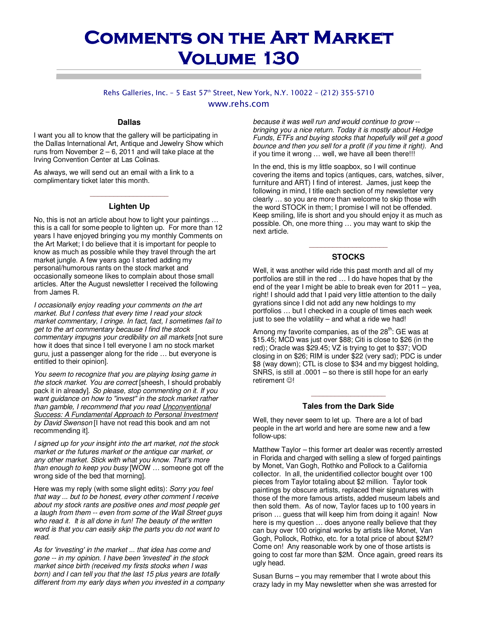# **COMMENTS ON THE ART MARKET Volume 130 Volume 130**

Rehs Galleries, Inc. - 5 East 57<sup>th</sup> Street, New York, N.Y. 10022 - (212) 355-5710 www.rehs.com

#### **Dallas**

I want you all to know that the gallery will be participating in the Dallas International Art, Antique and Jewelry Show which runs from November  $2 - 6$ , 2011 and will take place at the Irving Convention Center at Las Colinas.

As always, we will send out an email with a link to a complimentary ticket later this month.

### \_\_\_\_\_\_\_\_\_\_\_\_\_\_\_\_\_\_\_\_ **Lighten Up**

No, this is not an article about how to light your paintings … this is a call for some people to lighten up. For more than 12 years I have enjoyed bringing you my monthly Comments on the Art Market; I do believe that it is important for people to know as much as possible while they travel through the art market jungle. A few years ago I started adding my personal/humorous rants on the stock market and occasionally someone likes to complain about those small articles. After the August newsletter I received the following from James R.

*I occasionally enjoy reading your comments on the art market. But I confess that every time I read your stock market commentary, I cringe. In fact, fact, I sometimes fail to get to the art commentary because I find the stock commentary impugns your credibility on all markets* [not sure how it does that since I tell everyone I am no stock market guru, just a passenger along for the ride … but everyone is entitled to their opinion].

*You seem to recognize that you are playing losing game in the stock market. You are correct* [sheesh, I should probably pack it in already]. *So please, stop commenting on it. If you want guidance on how to "invest" in the stock market rather than gamble, I recommend that you read Unconventional Success: A Fundamental Approach to Personal Investment by David Swenson* [I have not read this book and am not recommending it].

*I signed up for your insight into the art market, not the stock market or the futures market or the antique car market, or any other market. Stick with what you know. That's more than enough to keep you busy* [WOW … someone got off the wrong side of the bed that morning].

Here was my reply (with some slight edits): *Sorry you feel that way ... but to be honest, every other comment I receive about my stock rants are positive ones and most people get a laugh from them -- even from some of the Wall Street guys who read it. It is all done in fun! The beauty of the written word is that you can easily skip the parts you do not want to read.* 

*As for 'investing' in the market ... that idea has come and gone -- in my opinion. I have been 'invested' in the stock market since birth (received my firsts stocks when I was born) and I can tell you that the last 15 plus years are totally different from my early days when you invested in a company*  *because it was well run and would continue to grow - bringing you a nice return. Today it is mostly about Hedge Funds, ETFs and buying stocks that hopefully will get a good bounce and then you sell for a profit (if you time it right).* And if you time it wrong … well, we have all been there!!!

In the end, this is my little soapbox, so I will continue covering the items and topics (antiques, cars, watches, silver, furniture and ART) I find of interest. James, just keep the following in mind, I title each section of my newsletter very clearly … so you are more than welcome to skip those with the word STOCK in them; I promise I will not be offended. Keep smiling, life is short and you should enjoy it as much as possible. Oh, one more thing … you may want to skip the next article.

# \_\_\_\_\_\_\_\_\_\_\_\_\_\_\_\_\_\_\_\_ **STOCKS**

Well, it was another wild ride this past month and all of my portfolios are still in the red … I do have hopes that by the end of the year I might be able to break even for 2011 – yea, right! I should add that I paid very little attention to the daily gyrations since I did not add any new holdings to my portfolios … but I checked in a couple of times each week just to see the volatility  $-$  and what a ride we had!

Among my favorite companies, as of the  $28<sup>th</sup>$ : GE was at \$15.45; MCD was just over \$88; Citi is close to \$26 (in the red); Oracle was \$29.45; VZ is trying to get to \$37; VOD closing in on \$26; RIM is under \$22 (very sad); PDC is under \$8 (way down); CTL is close to \$34 and my biggest holding, SNRS, is still at .0001 – so there is still hope for an early retirement ☺!

# \_\_\_\_\_\_\_\_\_\_\_\_\_\_\_\_\_\_\_ **Tales from the Dark Side**

Well, they never seem to let up. There are a lot of bad people in the art world and here are some new and a few follow-ups:

Matthew Taylor – this former art dealer was recently arrested in Florida and charged with selling a slew of forged paintings by Monet, Van Gogh, Rothko and Pollock to a California collector. In all, the unidentified collector bought over 100 pieces from Taylor totaling about \$2 million. Taylor took paintings by obscure artists, replaced their signatures with those of the more famous artists, added museum labels and then sold them. As of now, Taylor faces up to 100 years in prison … guess that will keep him from doing it again! Now here is my question … does anyone really believe that they can buy over 100 original works by artists like Monet, Van Gogh, Pollock, Rothko, etc. for a total price of about \$2M? Come on! Any reasonable work by one of those artists is going to cost far more than \$2M. Once again, greed rears its ugly head.

Susan Burns – you may remember that I wrote about this crazy lady in my May newsletter when she was arrested for